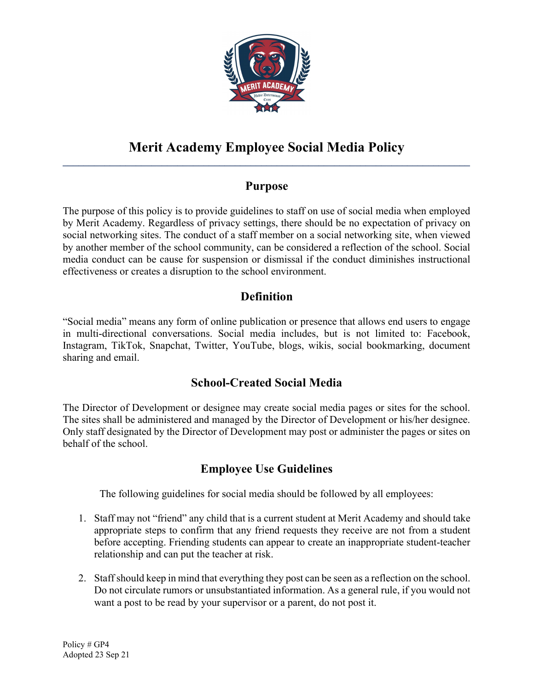

#### Merit Academy Employee Social Media Policy  $\mathcal{L}_\mathcal{L} = \mathcal{L}_\mathcal{L} = \mathcal{L}_\mathcal{L} = \mathcal{L}_\mathcal{L} = \mathcal{L}_\mathcal{L} = \mathcal{L}_\mathcal{L} = \mathcal{L}_\mathcal{L} = \mathcal{L}_\mathcal{L} = \mathcal{L}_\mathcal{L} = \mathcal{L}_\mathcal{L} = \mathcal{L}_\mathcal{L} = \mathcal{L}_\mathcal{L} = \mathcal{L}_\mathcal{L} = \mathcal{L}_\mathcal{L} = \mathcal{L}_\mathcal{L} = \mathcal{L}_\mathcal{L} = \mathcal{L}_\mathcal{L}$

# Purpose

The purpose of this policy is to provide guidelines to staff on use of social media when employed by Merit Academy. Regardless of privacy settings, there should be no expectation of privacy on social networking sites. The conduct of a staff member on a social networking site, when viewed by another member of the school community, can be considered a reflection of the school. Social media conduct can be cause for suspension or dismissal if the conduct diminishes instructional effectiveness or creates a disruption to the school environment.

# **Definition**

"Social media" means any form of online publication or presence that allows end users to engage in multi-directional conversations. Social media includes, but is not limited to: Facebook, Instagram, TikTok, Snapchat, Twitter, YouTube, blogs, wikis, social bookmarking, document sharing and email.

## School-Created Social Media

The Director of Development or designee may create social media pages or sites for the school. The sites shall be administered and managed by the Director of Development or his/her designee. Only staff designated by the Director of Development may post or administer the pages or sites on behalf of the school.

# Employee Use Guidelines

The following guidelines for social media should be followed by all employees:

- 1. Staff may not "friend" any child that is a current student at Merit Academy and should take appropriate steps to confirm that any friend requests they receive are not from a student before accepting. Friending students can appear to create an inappropriate student-teacher relationship and can put the teacher at risk.
- 2. Staff should keep in mind that everything they post can be seen as a reflection on the school. Do not circulate rumors or unsubstantiated information. As a general rule, if you would not want a post to be read by your supervisor or a parent, do not post it.